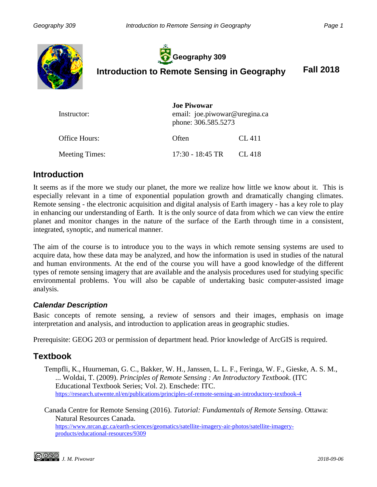

**Geography 309**

**Introduction to Remote Sensing in Geography Fall 2018**

| Instructor:    | <b>Joe Piwowar</b><br>email: joe.piwowar@uregina.ca<br>phone: 306.585.5273 |        |
|----------------|----------------------------------------------------------------------------|--------|
| Office Hours:  | Often                                                                      | CL 411 |
| Meeting Times: | $17:30 - 18:45$ TR                                                         | CL 418 |

### **Introduction**

It seems as if the more we study our planet, the more we realize how little we know about it. This is especially relevant in a time of exponential population growth and dramatically changing climates. Remote sensing - the electronic acquisition and digital analysis of Earth imagery - has a key role to play in enhancing our understanding of Earth. It is the only source of data from which we can view the entire planet and monitor changes in the nature of the surface of the Earth through time in a consistent, integrated, synoptic, and numerical manner.

The aim of the course is to introduce you to the ways in which remote sensing systems are used to acquire data, how these data may be analyzed, and how the information is used in studies of the natural and human environments. At the end of the course you will have a good knowledge of the different types of remote sensing imagery that are available and the analysis procedures used for studying specific environmental problems. You will also be capable of undertaking basic computer-assisted image analysis.

#### *Calendar Description*

Basic concepts of remote sensing, a review of sensors and their images, emphasis on image interpretation and analysis, and introduction to application areas in geographic studies.

Prerequisite: GEOG 203 or permission of department head. Prior knowledge of ArcGIS is required.

## **Textbook**

Tempfli, K., Huurneman, G. C., Bakker, W. H., Janssen, L. L. F., Feringa, W. F., Gieske, A. S. M., ... Woldai, T. (2009). *Principles of Remote Sensing : An Introductory Textbook*. (ITC Educational Textbook Series; Vol. 2). Enschede: ITC. <https://research.utwente.nl/en/publications/principles-of-remote-sensing-an-introductory-textbook-4>

Canada Centre for Remote Sensing (2016). *Tutorial: Fundamentals of Remote Sensing*. Ottawa: Natural Resources Canada.

[https://www.nrcan.gc.ca/earth-sciences/geomatics/satellite-imagery-air-photos/satellite-imagery](https://www.nrcan.gc.ca/earth-sciences/geomatics/satellite-imagery-air-photos/satellite-imagery-products/educational-resources/9309)[products/educational-resources/9309](https://www.nrcan.gc.ca/earth-sciences/geomatics/satellite-imagery-air-photos/satellite-imagery-products/educational-resources/9309)

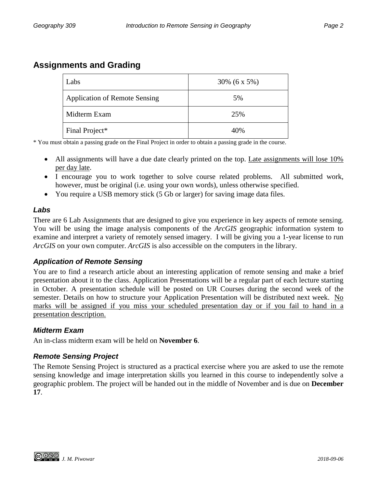## **Assignments and Grading**

| Labs                                 | 30% $(6 x 5\%)$ |  |
|--------------------------------------|-----------------|--|
| <b>Application of Remote Sensing</b> | 5%              |  |
| Midterm Exam                         | 25%             |  |
| Final Project*                       | 40%             |  |

\* You must obtain a passing grade on the Final Project in order to obtain a passing grade in the course.

- All assignments will have a due date clearly printed on the top. Late assignments will lose 10% per day late.
- I encourage you to work together to solve course related problems. All submitted work, however, must be original (i.e. using your own words), unless otherwise specified.
- You require a USB memory stick (5 Gb or larger) for saving image data files.

#### *Labs*

There are 6 Lab Assignments that are designed to give you experience in key aspects of remote sensing. You will be using the image analysis components of the *ArcGIS* geographic information system to examine and interpret a variety of remotely sensed imagery. I will be giving you a 1-year license to run *ArcGIS* on your own computer. *ArcGIS* is also accessible on the computers in the library.

#### *Application of Remote Sensing*

You are to find a research article about an interesting application of remote sensing and make a brief presentation about it to the class. Application Presentations will be a regular part of each lecture starting in October. A presentation schedule will be posted on UR Courses during the second week of the semester. Details on how to structure your Application Presentation will be distributed next week. No marks will be assigned if you miss your scheduled presentation day or if you fail to hand in a presentation description.

#### *Midterm Exam*

An in-class midterm exam will be held on **November 6**.

#### *Remote Sensing Project*

The Remote Sensing Project is structured as a practical exercise where you are asked to use the remote sensing knowledge and image interpretation skills you learned in this course to independently solve a geographic problem. The project will be handed out in the middle of November and is due on **December 17**.